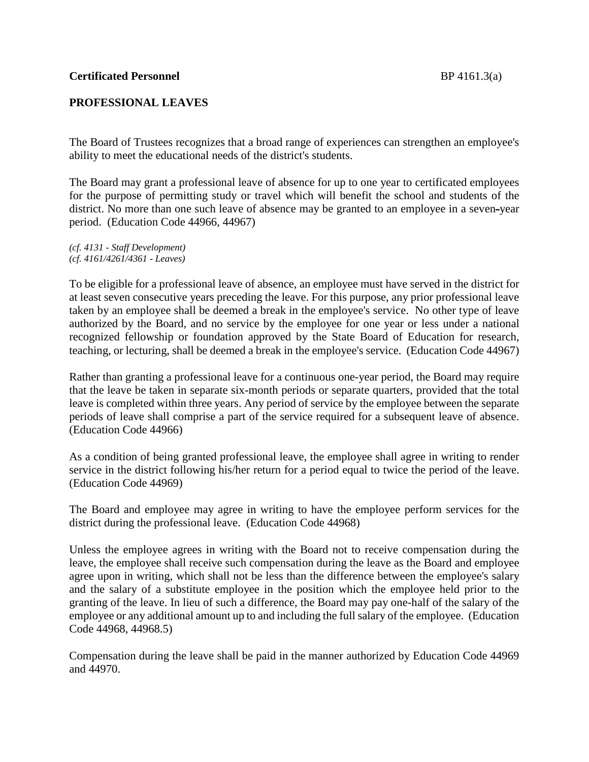## **PROFESSIONAL LEAVES**

The Board of Trustees recognizes that a broad range of experiences can strengthen an employee's ability to meet the educational needs of the district's students.

The Board may grant a professional leave of absence for up to one year to certificated employees for the purpose of permitting study or travel which will benefit the school and students of the district. No more than one such leave of absence may be granted to an employee in a seven-year period. (Education Code 44966, 44967)

*(cf. 4131 - Staff Development) (cf. 4161/4261/4361 - Leaves)*

To be eligible for a professional leave of absence, an employee must have served in the district for at least seven consecutive years preceding the leave. For this purpose, any prior professional leave taken by an employee shall be deemed a break in the employee's service. No other type of leave authorized by the Board, and no service by the employee for one year or less under a national recognized fellowship or foundation approved by the State Board of Education for research, teaching, or lecturing, shall be deemed a break in the employee's service. (Education Code 44967)

Rather than granting a professional leave for a continuous one-year period, the Board may require that the leave be taken in separate six-month periods or separate quarters, provided that the total leave is completed within three years. Any period of service by the employee between the separate periods of leave shall comprise a part of the service required for a subsequent leave of absence. (Education Code 44966)

As a condition of being granted professional leave, the employee shall agree in writing to render service in the district following his/her return for a period equal to twice the period of the leave. (Education Code 44969)

The Board and employee may agree in writing to have the employee perform services for the district during the professional leave. (Education Code 44968)

Unless the employee agrees in writing with the Board not to receive compensation during the leave, the employee shall receive such compensation during the leave as the Board and employee agree upon in writing, which shall not be less than the difference between the employee's salary and the salary of a substitute employee in the position which the employee held prior to the granting of the leave. In lieu of such a difference, the Board may pay one-half of the salary of the employee or any additional amount up to and including the full salary of the employee. (Education Code 44968, 44968.5)

Compensation during the leave shall be paid in the manner authorized by Education Code 44969 and 44970.